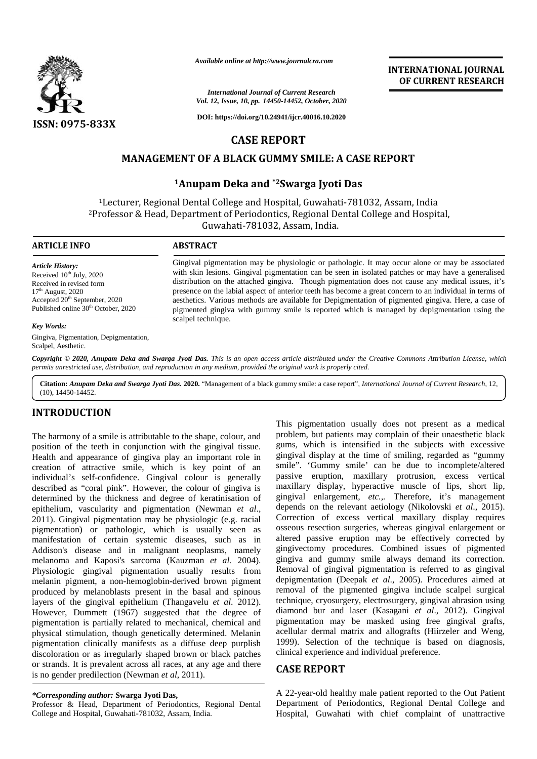

*Available online at http://www.journalcra.com*

*International Journal of Current Research Vol. 12, Issue, 10, pp. 14450-14452, October, 2020*

**DOI: https://doi.org/10.24941/ijcr.40016.10.2020**

# **CASE REPORT**

### **MANAGEMENT OF A BLACK GUMMY SMILE: A CASE REPORT A CASE**

# **<sup>1</sup>Anupam Deka and \*2Swarga Jyoti Das 1Anupam Deka**

<sup>1</sup>Lecturer, Regional Dental College and Hospital, Guwahati-781032, Assam, India Lecturer, Regional Dental College and Hospital, Guwahati-781032, Assam, India<br>Professor & Head, Department of Periodontics, Regional Dental College and Hospital, Guwahati-781032, Assam, India.

#### **ARTICLE INFO ABSTRACT ARTICLE ABSTRACT**

*Article History:*

*Key Words:*

Gingival pigmentation may be physiologic or pathologic. It may occur alone or may be associated Gingival pigmentation may be physiologic or pathologic. It may occur alone or may be associated with skin lesions. Gingival pigmentation can be seen in isolated patches or may have a generalised distribution on the attached gingiva. Though pigmentation does not cause any medical issues, it's presence on the labial aspect of anterior teeth has become a great concern to an individual in terms of aesthetics. Various methods are available for Depigmentation of pigmented gingiva. Here, a case of pigmented gingiva with gummy smile is reported which is managed by depigmentation using the scalpel technique. presence on the labial aspect of anterior teeth has become a great concern to an individual in aesthetics. Various methods are available for Depigmentation of pigmented gingiva. Here, a pigmented gingiva with gummy smile i Available online at http://www.journalcra.com<br>
14450-14452. *Http://www.journalcra.com*<br>
14450-14452. **CASE REPORT**<br>
14450-14452. **CASE REPORT**<br>
1450-14452. **CASE REPORT**<br>
14450-14452. **CASE REPORT**<br>
1470-14452. **CASE REPO** of

Gingiva, Pigmentation, Depigmentation, Scalpel, Aesthetic.

Received in revised form<br>17<sup>th</sup> August, 2020<br>Accepted 20<sup>th</sup> September, 2020 Published online 30<sup>th</sup> October, 2020

Received  $10^{th}$  July, 2020 Received in revised form  $17<sup>th</sup>$  August, 2020

Copyright © 2020, Anupam Deka and Swarga Jyoti Das. This is an open access article distributed under the Creative Commons Attribution License, which permits unrestricted use, distribution, and reproduction in any medium, provided the original work is properly cited.

Citation: Anupam Deka and Swarga Jyoti Das. 2020. "Management of a black gummy smile: a case report", International Journal of Current Research, 12, (10), 14450-14452.

# **INTRODUCTION INTRODUCTION**

The harmony of a smile is attributable to the shape, colour, and The harmony of a smile is attributable to the shape, colour, and<br>position of the teeth in conjunction with the gingival tissue. Health and appearance of gingiva play an important role in ginging Health and appearance of gingiva play an important role in ginging<br>creation of attractive smile, which is key point of an smile individual's self-confidence. Gingival colour is generally passi described as "coral pink". However, the colour of gingiva is ma determined by the thickness and degree of keratinisation of determined by the thickness and degree of keratinisation of appropriately equilibration, vascularity and pigmentation (Newman *et al.*, 2011). Gingival pigmentation may be physiologic (e.g. racial 2011). Gingival pigmentation) or pathologic, which is usually seen as manifestation of certain systemic diseases, such as in Addison's disease and in malignant neoplasms, namely melanoma and Kaposi's sarcoma (Kauzman *et al.* 2004). Physiologic gingival pigmentation usually results from melanin pigment, a non-hemoglobin-derived brown pigment produced by melanoblasts present in the basal and spinous produced by melanoblasts present in the basal and spinous<br>layers of the gingival epithelium (Thangavelu *et al.* 2012). However, Dummett (1967) suggested that the degree of pigmentation is partially related to mechanical, chemical and physical stimulation, though genetically determined. Melanin pigmentation clinically manifests as a diffuse deep purplish discoloration or as irregularly shaped brown or black patches or strands. It is prevalent across all races, at any age and there is no gender predilection (Newman *et al*, 2011). pigmentation) or pathologic, which is usually seen as manifestation of certain systemic diseases, such as in  ${}^{8}$  Addison's disease and in malignant neoplasms, namely  ${}^{8}$  melanoma and Kaposi's sarcoma (Kauzman *et al* However, Dummett (1967) suggested that the degree pigmentation is partially related to mechanical, chemical physical stimulation, though genetically determined. Mela pigmentation clinically manifests as a diffuse deep purp The harmony of a smile is attributable to the shape, colour, and<br>
The pigmentation usually does not present as a medical<br>position of the tech inconsiteration with the ginging itssec. going, which is intensified in the san

Professor & Head, Department of Periodontics, Regional Dental College and Hospital, Guwahati-781032, Assam, India.

This pigmentation usually does not present as a medical problem, but patients may complain of their unaesthetic black gums, which is intensified in the subjects with excessive gingival display at the time of smiling, regarded as "gummy smile". 'Gummy smile' can be due to incomplete/altered passive eruption, maxillary protrusion, excess vertical maxillary display, hyperactive muscle of lips, short lip, gingival enlargement, *etc.,.* Therefore, it's management depends on the relevant aetiology (Nikolovski *et al*., 2015). Correction of excess vertical maxillary display requires osseous resection surgeries, whereas gingival enlargement or altered passive eruption may be effectively corrected by gingivectomy procedures. Combined issues of pigmented gingiva and gummy smile always demand its correction. Removal of gingival pigmentation is referred to as gingival depigmentation (Deepak *et al*., 2005). Procedures aimed at removal of the pigmented gingiva include scalpel surgical technique, cryosurgery, electrosurgery, gingival abrasion using diamond bur and laser (Kasagani *et al*., 2012). Gingival pigmentation may be masked using free gingival grafts, acellular dermal matrix and allografts (Hiirzeler and Weng, 1999). Selection of the technique is based on diagnosis, clinical experience and individual preference. **THE CALL THE CALL THE CALL THE CALL THE CALL THE CALL THE CALL THE CALL THE CALL THE CALL THE CALL THE CALL THE CALL THE CALL THE CALL THE CALL THE CALL THE CALL THE CALL THE CALL THE CALL THE CALL THE CALL THE CALL THE Example 12.1**<br> **Fractional Journal of Current Research**<br> **CASE REPORT**<br> **https://doi.org/10.24941/ijcr.40016.10.2020**<br> **CASE REPORT**<br> **https://doi.org/10.24941/ijcr.40016.10.2020**<br> **CASE REPORT**<br> **A BLACK GUMMY SMILE: A**<br>

**INTERNATIONAL JOURNAL OF CURRENT RESEARCH**

#### **CASE REPORT**

A 22-year-old healthy male patient reported to the Out Patient Department of Periodontics, Regional Dental College and Hospital, Guwahati with chief complaint of unattractive

*<sup>\*</sup>Corresponding author:* **Swarga Jyoti Das,** *\*Corresponding*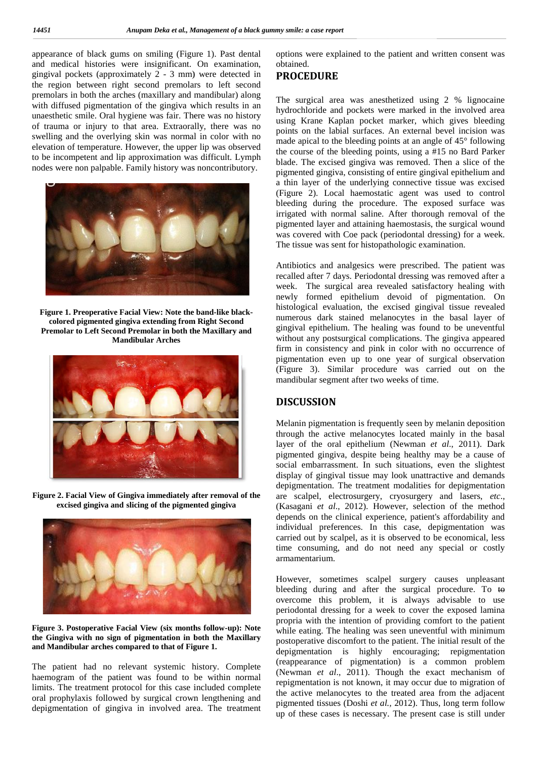appearance of black gums on smiling (Figure 1). Past dental c and medical histories were insignificant. On examination, gingival pockets (approximately 2 - 3 mm) were detected in the region between right second premolars to left second premolars in both the arches (maxillary and mandibular) along with diffused pigmentation of the gingiva which results in an unaesthetic smile. Oral hygiene was fair. There was no history of trauma or injury to that area. Extraorally, there was no swelling and the overlying skin was normal in color with no elevation of temperature. However, the upper lip was observed to be incompetent and lip approximation was difficult. Lymph nodes were non palpable. Family history was noncontributory. gingival pockets (approximately 2 - 3 mm) were detected in<br>the region between right second premolars to left second<br>premolars in both the arches (maxillary and mandibular) along<br>with diffused pigmentation of the gingiva wh



**Figure 1. Preoperative Facial View: Note the band-like black colored pigmented gingiva extending from Right Second Premolar to Left Second Premolar in both the Maxillary and Mandibular Arches**



**Figure 2. Facial View of Gingiva immediately after removal of the excised gingiva and slicing of the pigmented gingiva**



**Figure 3. Postoperative Facial View (six months follow-up): Note the Gingiva with no sign of pigmentation in both the Maxillary** the Gingiva with no sign of pigmentation in both the **M**<br>and Mandibular arches compared to that of Figure 1.

The patient had no relevant systemic history. Complete haemogram of the patient was found to be within normal limits. The treatment protocol for this case included complete oral prophylaxis followed by surgical crown lengthening and depigmentation of gingiva in involved area. The treatment The patient had no relevant systemic history. Complete haemogram of the patient was found to be within normal limits. The treatment protocol for this case included complete oral prophylaxis followed by surgical crown lengt

options were explained to the patient and written consent was obtained.

# **PROCEDURE**

The surgical area was anesthetized using 2 % lignocaine hydrochloride and pockets were marked in the involved area using Krane Kaplan pocket marker, which gives bleeding points on the labial surfaces. An external bevel incision was made apical to the bleeding points at an angle of 45° following the course of the bleeding points, using a #15 no Bard Parker blade. The excised gingiva was removed. Then a slice of the pigmented gingiva, consisting of entire gingival epithelium and a thin layer of the underlying connective tissue was excised (Figure 2). Local haemostatic agent was used to control bleeding during the procedure. The exposed surface was irrigated with normal saline. After thorough removal of the pigmented layer and attaining haemostasis, the surgical wound was covered with Coe pack (periodontal dressing) for a week. The tissue was sent for histopathologic examination. ons were explained to the patient and written consent was<br>
ined.<br>
OCEDURE<br>
surgical area was anesthetized using 2 % lignocaine<br>
rochloride and pockets were marked in the involved area<br>
reconchoride and pockets marker, whic determines of this pair the main the specific of the specific of the pair and the specific of the specific of the specific of the specific of the specific of the specific of the specific of the specific of the specific of

Antibiotics and analgesics were prescribed. The patient was recalled after 7 days. Periodontal dressing was removed after a week. The surgical area revealed satisfactory healing with newly formed epithelium devoid of pigmentation. On histological evaluation, the excised gingival tissue revealed numerous dark stained melanocytes in the basal layer of gingival epithelium. The healing was found to be uneventful without any postsurgical complications. The gingiva appeared firm in consistency and pink in color with no occurrence of pigmentation even up to one year of surgical observation (Figure 3). Similar procedure was carried out on the mandibular segment after two weeks of time. 7 days. Periodontal dressing was removed<br>surgical area revealed satisfactory healing<br>ed epithelium devoid of pigmentation<br>evaluation, the excised gingival tissue re<br>ark stained melanocytes in the basal la<br>helium. The heali

## **DISCUSSION**

Melanin pigmentation is frequently seen by melanin deposition through the active melanocytes located mainly in the basal layer of the oral epithelium (Newman *et al*., 2011). Dark pigmented gingiva, despite being healthy may be a cause of social embarrassment. In such situations, even the slightest display of gingival tissue may look unattractive and demands depigmentation. The treatment modalities for depigmentation are scalpel, electrosurgery, cryosurgery and lasers, *etc*., (Kasagani *et al*., 2012). However, selection of the method depends on the clinical experience, patient's affordability and individual preferences. In this case, depigmentation was carried out by scalpel, as it is observed to be economical, less time consuming, and do not need any special or costly armamentarium. through the active melanocytes located mainly in the basal<br>layer of the oral epithelium (Newman *et al.*, 2011). Dark<br>pigmented gingiva, despite being healthy may be a cause of<br>social embarrassment. In such situations, eve

However, sometimes scalpel surgery causes unpleasant bleeding during and after the surgical procedure. To to overcome this problem, it is always advisable to use periodontal dressing for a week to cover the exposed lamina propria with the intention of providing comfort to the patient while eating. The healing was seen uneventful with minimum postoperative discomfort to the patient. The initial result of the depigmentation is highly encouraging; repigmentation (reappearance of pigmentation) is a common problem (Newman *et al*., 2011). Though the exact mechanism of repigmentation is not known, it may occur due to migration of the active melanocytes to the treated area from the adjacent pigmented tissues (Doshi *et al.,* 2012). Thus, long term follow up of these cases is necessary. The present case is still under